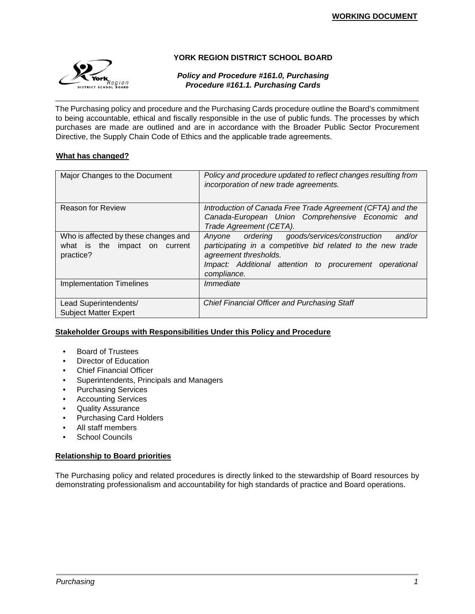

## **YORK REGION DISTRICT SCHOOL BOARD**

## *Policy and Procedure #161.0, Purchasing Procedure #161.1. Purchasing Cards*

The Purchasing policy and procedure and the Purchasing Cards procedure outline the Board's commitment to being accountable, ethical and fiscally responsible in the use of public funds. The processes by which purchases are made are outlined and are in accordance with the Broader Public Sector Procurement Directive, the Supply Chain Code of Ethics and the applicable trade agreements.

## **What has changed?**

| Major Changes to the Document                                                      | Policy and procedure updated to reflect changes resulting from<br>incorporation of new trade agreements.                                                                                                                |
|------------------------------------------------------------------------------------|-------------------------------------------------------------------------------------------------------------------------------------------------------------------------------------------------------------------------|
| <b>Reason for Review</b>                                                           | Introduction of Canada Free Trade Agreement (CFTA) and the<br>Canada-European Union Comprehensive Economic and<br>Trade Agreement (CETA).                                                                               |
| Who is affected by these changes and<br>what is the impact on current<br>practice? | Anyone ordering goods/services/construction<br>and/or<br>participating in a competitive bid related to the new trade<br>agreement thresholds.<br>Impact: Additional attention to procurement operational<br>compliance. |
| <b>Implementation Timelines</b>                                                    | Immediate                                                                                                                                                                                                               |
| Lead Superintendents/<br><b>Subject Matter Expert</b>                              | <b>Chief Financial Officer and Purchasing Staff</b>                                                                                                                                                                     |

## **Stakeholder Groups with Responsibilities Under this Policy and Procedure**

- Board of Trustees
- Director of Education
- Chief Financial Officer
- Superintendents, Principals and Managers
- Purchasing Services
- Accounting Services
- Quality Assurance
- Purchasing Card Holders
- All staff members
- School Councils

## **Relationship to Board priorities**

The Purchasing policy and related procedures is directly linked to the stewardship of Board resources by demonstrating professionalism and accountability for high standards of practice and Board operations.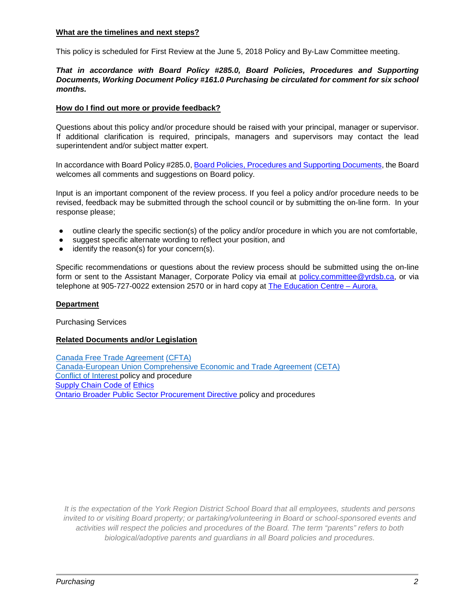#### **What are the timelines and next steps?**

This policy is scheduled for First Review at the June 5, 2018 Policy and By-Law Committee meeting.

## *That in accordance with Board Policy #285.0, Board Policies, Procedures and Supporting Documents, Working Document Policy #161.0 Purchasing be circulated for comment for six school months.*

## **How do I find out more or provide feedback?**

Questions about this policy and/or procedure should be raised with your principal, manager or supervisor. If additional clarification is required, principals, managers and supervisors may contact the lead superintendent and/or subject matter expert.

In accordance with Board Policy #285.0, [Board Policies, Procedures and Supporting Documents,](http://www.yrdsb.edu.on.ca/pdfs/p&p/a/policy/285.pdf) the Board welcomes all comments and suggestions on Board policy.

Input is an important component of the review process. If you feel a policy and/or procedure needs to be revised, feedback may be submitted through the school council or by submitting the on-line form. In your response please;

- outline clearly the specific section(s) of the policy and/or procedure in which you are not comfortable,
- suggest specific alternate wording to reflect your position, and
- identify the reason(s) for your concern(s).

Specific recommendations or questions about the review process should be submitted using the on-line form or sent to the Assistant Manager, Corporate Policy via email at [policy.committee@yrdsb.ca,](mailto:policy.committee@yrdsb.ca) or via telephone at 905-727-0022 extension 2570 or in hard copy at [The Education Centre –](http://www.yrdsb.ca/AboutUs/Departments/Pages/default.aspx) Aurora[.](http://www.yrdsb.ca/AboutUs/Departments/Pages/default.aspx)

## **Department**

Purchasing Services

#### **Related Documents and/or Legislation**

[Canada Free Trade Agreement](https://www.cfta-alec.ca/wp-content/uploads/2017/06/CFTA-Consolidated-Text-Final-Print-Text-English.pdf) [\(CFTA\)](https://www.cfta-alec.ca/) [Canada-European Union Comprehensive Economic and Trade Agreement](http://www.international.gc.ca/trade-commerce/trade-agreements-accords-commerciaux/agr-acc/ceta-aecg/text-texte/toc-tdm.aspx?lang=eng) [\(CETA\)](http://www.international.gc.ca/trade-commerce/trade-agreements-accords-commerciaux/agr-acc/ceta-aecg/index.aspx?lang=eng) [Conflict of Interest](https://bww.yrdsb.ca/boarddocs/Documents/PP-conflictofinterest-222.pdf#Policy) policy and procedure [Supply Chain Code of](https://bww.yrdsb.ca/boarddocs/Documents/SD-CodeofEthics.pdf) [Ethics](https://bww.yrdsb.ca/boarddocs/Documents/SD-CodeofEthics.pdf) [Ontario Broader Public Sector Procurement Directive](https://www.doingbusiness.mgs.gov.on.ca/mbs/psb/psb.nsf/Attachments/BPSProcDir-pdf-eng/$FILE/bps_procurement_directive-eng.pdf) policy and procedures

*It is the expectation of the York Region District School Board that all employees, students and persons invited to or visiting Board property; or partaking/volunteering in Board or school-sponsored events and activities will respect the policies and procedures of the Board. The term "parents" refers to both biological/adoptive parents and guardians in all Board policies and procedures.*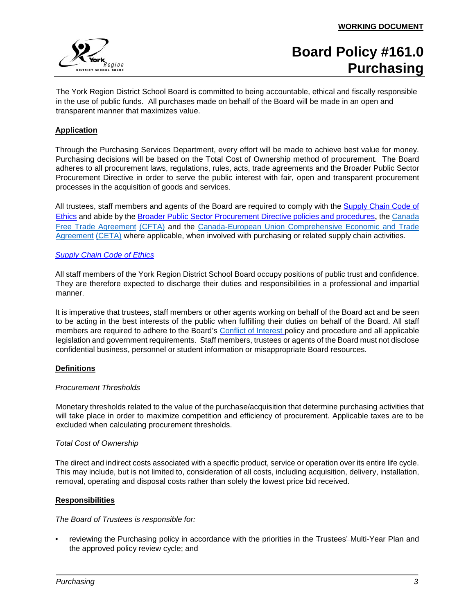

The York Region District School Board is committed to being accountable, ethical and fiscally responsible in the use of public funds. All purchases made on behalf of the Board will be made in an open and transparent manner that maximizes value.

## **Application**

Through the Purchasing Services Department, every effort will be made to achieve best value for money. Purchasing decisions will be based on the Total Cost of Ownership method of procurement. The Board adheres to all procurement laws, regulations, rules, acts, trade agreements and the Broader Public Sector Procurement Directive in order to serve the public interest with fair, open and transparent procurement processes in the acquisition of goods and services.

All trustees, staff members and agents of the Board are required to comply with the [Supply Chain Code of](https://bww.yrdsb.ca/boarddocs/Documents/SD-CodeofEthics.pdf) [Ethics](https://bww.yrdsb.ca/boarddocs/Documents/SD-CodeofEthics.pdf) [a](https://bww.yrdsb.ca/boarddocs/Documents/SD-CodeofEthics.pdf)nd abide by the [Broader Public Sector Procurement Directive policies and procedures](http://www.doingbusiness.mgs.gov.on.ca/mbs/psb/psb.nsf/English/bps-procurementdirective)[,](http://www.doingbusiness.mgs.gov.on.ca/mbs/psb/psb.nsf/English/bps-procurementdirective) the [Canada](https://www.cfta-alec.ca/wp-content/uploads/2017/06/CFTA-Consolidated-Text-Final-Print-Text-English.pdf)  [Free Trade Agreement](https://www.cfta-alec.ca/wp-content/uploads/2017/06/CFTA-Consolidated-Text-Final-Print-Text-English.pdf) [\(CFTA\)](https://www.cfta-alec.ca/) and the [Canada-European Union Comprehensive Economic and Trade](http://www.international.gc.ca/trade-commerce/trade-agreements-accords-commerciaux/agr-acc/ceta-aecg/text-texte/toc-tdm.aspx?lang=eng)  [Agreement](http://www.international.gc.ca/trade-commerce/trade-agreements-accords-commerciaux/agr-acc/ceta-aecg/text-texte/toc-tdm.aspx?lang=eng) [\(CETA\)](http://www.international.gc.ca/trade-commerce/trade-agreements-accords-commerciaux/agr-acc/ceta-aecg/index.aspx?lang=eng) where applicable, when involved with purchasing or related supply chain activities.

## *[Supply Chain Code of Ethics](https://bww.yrdsb.ca/boarddocs/Pages/CodeOfEthics.aspx)*

All staff members of the York Region District School Board occupy positions of public trust and confidence. They are therefore expected to discharge their duties and responsibilities in a professional and impartial manner.

It is imperative that trustees, staff members or other agents working on behalf of the Board act and be seen to be acting in the best interests of the public when fulfilling their duties on behalf of the Board. All staff members are required to adhere to the Board's [Conflict of Interest](https://bww.yrdsb.ca/boarddocs/Documents/PP-conflictofinterest-222.pdf#Policy) policy and procedur[e](http://www.yrdsb.edu.on.ca/pdfs/p%26p/a/policy/222.pdf) and all applicable legislation and government requirements. Staff members, trustees or agents of the Board must not disclose confidential business, personnel or student information or misappropriate Board resources.

## **Definitions**

## *Procurement Thresholds*

Monetary thresholds related to the value of the purchase/acquisition that determine purchasing activities that will take place in order to maximize competition and efficiency of procurement. Applicable taxes are to be excluded when calculating procurement thresholds.

#### *Total Cost of Ownership*

The direct and indirect costs associated with a specific product, service or operation over its entire life cycle. This may include, but is not limited to, consideration of all costs, including acquisition, delivery, installation, removal, operating and disposal costs rather than solely the lowest price bid received.

#### **Responsibilities**

*The Board of Trustees is responsible for:* 

reviewing the Purchasing policy in accordance with the priorities in the Trustees' Multi-Year Plan and the approved policy review cycle; and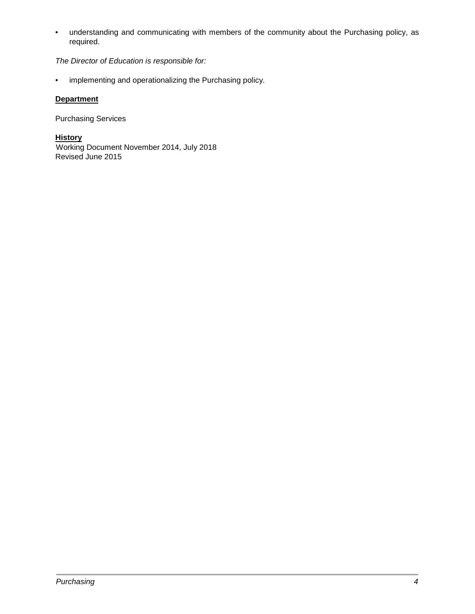• understanding and communicating with members of the community about the Purchasing policy, as required.

*The Director of Education is responsible for:* 

• implementing and operationalizing the Purchasing policy.

## **Department**

Purchasing Services

**History** Working Document November 2014, July 2018 Revised June 2015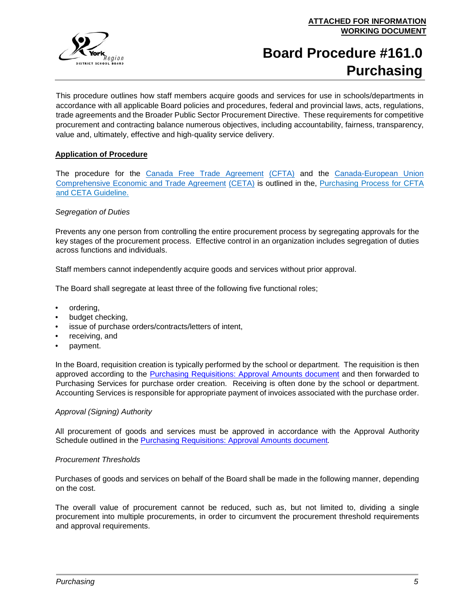# **Board Procedure #161.0 Purchasing**

This procedure outlines how staff members acquire goods and services for use in schools/departments in accordance with all applicable Board policies and procedures, federal and provincial laws, acts, regulations, trade agreements and the Broader Public Sector Procurement Directive. These requirements for competitive procurement and contracting balance numerous objectives, including accountability, fairness, transparency, value and, ultimately, effective and high-quality service delivery.

## **Application of Procedure**

The procedure for the [Canada Free Trade Agreement](https://www.cfta-alec.ca/wp-content/uploads/2017/06/CFTA-Consolidated-Text-Final-Print-Text-English.pdf) [\(CFTA\)](https://www.cfta-alec.ca/) and the [Canada-European Union](http://www.international.gc.ca/trade-commerce/trade-agreements-accords-commerciaux/agr-acc/ceta-aecg/text-texte/toc-tdm.aspx?lang=eng)  [Comprehensive Economic and Trade Agreement](http://www.international.gc.ca/trade-commerce/trade-agreements-accords-commerciaux/agr-acc/ceta-aecg/text-texte/toc-tdm.aspx?lang=eng) [\(CETA\)](http://www.international.gc.ca/trade-commerce/trade-agreements-accords-commerciaux/agr-acc/ceta-aecg/index.aspx?lang=eng) is outlined in the, Purchasing Process for CFTA and CETA Guideline.

## *Segregation of Duties*

Prevents any one person from controlling the entire procurement process by segregating approvals for the key stages of the procurement process. Effective control in an organization includes segregation of duties across functions and individuals.

Staff members cannot independently acquire goods and services without prior approval.

The Board shall segregate at least three of the following five functional roles;

- ordering,
- budget checking,
- issue of purchase orders/contracts/letters of intent,
- receiving, and
- payment.

In the Board, requisition creation is typically performed by the school or department. The requisition is then approved according to the [Purchasing Requisitions: Approval Amounts document](https://bww.yrdsb.ca/boarddocs/Documents/SD-purchasinglimits.pdf) and then forwarded to Purchasing Services for purchase order creation. Receiving is often done by the school or department. Accounting Services is responsible for appropriate payment of invoices associated with the purchase order.

#### *Approval (Signing) Authority*

All procurement of goods and services must be approved in accordance with the Approval Authority Schedule outlined in the [Purchasing Requisitions: Approval Amounts document](https://bww.yrdsb.ca/boarddocs/Documents/SD-purchasinglimits.pdf)*[.](https://bww.yrdsb.ca/boarddocs/Documents/SD-purchasinglimits.pdf)*

#### *Procurement Thresholds*

Purchases of goods and services on behalf of the Board shall be made in the following manner, depending on the cost.

The overall value of procurement cannot be reduced, such as, but not limited to, dividing a single procurement into multiple procurements, in order to circumvent the procurement threshold requirements and approval requirements.

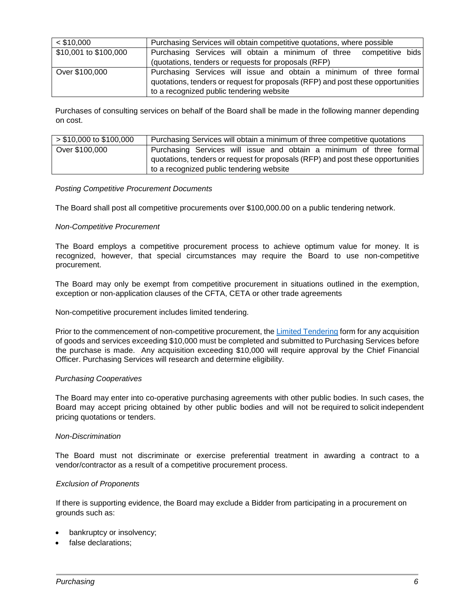| $<$ \$10,000          | Purchasing Services will obtain competitive quotations, where possible          |
|-----------------------|---------------------------------------------------------------------------------|
| \$10,001 to \$100,000 | Purchasing Services will obtain a minimum of three competitive bids             |
|                       | (quotations, tenders or requests for proposals (RFP)                            |
| Over \$100,000        | Purchasing Services will issue and obtain a minimum of three formal             |
|                       | quotations, tenders or request for proposals (RFP) and post these opportunities |
|                       | to a recognized public tendering website                                        |

Purchases of consulting services on behalf of the Board shall be made in the following manner depending on cost.

| $> $10,000$ to \$100,000 | Purchasing Services will obtain a minimum of three competitive quotations       |
|--------------------------|---------------------------------------------------------------------------------|
| Over \$100,000           | Purchasing Services will issue and obtain a minimum of three formal             |
|                          | quotations, tenders or request for proposals (RFP) and post these opportunities |
|                          | to a recognized public tendering website                                        |

#### *Posting Competitive Procurement Documents*

The Board shall post all competitive procurements over \$100,000.00 on a public tendering network.

## *Non-Competitive Procurement*

The Board employs a competitive procurement process to achieve optimum value for money. It is recognized, however, that special circumstances may require the Board to use non-competitive procurement.

The Board may only be exempt from competitive procurement in situations outlined in the exemption, exception or non-application clauses of the CFTA, CETA or other trade agreements

Non-competitive procurement includes limited tendering.

Prior to the commencement of non-competitive procurement, the Limited [Tendering](https://bww.yrdsb.ca/services/purchasing/Documents/Limited%20Tendering%20and%20Non%20Competitive%20Procurement%20May%202018.pdf) [f](https://bww.yrdsb.ca/services/purchasing/Documents/Limited%20Tendering%20and%20Non%20Competitive%20Procurement%20May%202018.pdf)orm for any acquisition of goods and services exceeding \$10,000 must be completed and submitted to Purchasing Services before the purchase is made. Any acquisition exceeding \$10,000 will require approval by the Chief Financial Officer. Purchasing Services will research and determine eligibility.

#### *Purchasing Cooperatives*

The Board may enter into co-operative purchasing agreements with other public bodies. In such cases, the Board may accept pricing obtained by other public bodies and will not be required to solicit independent pricing quotations or tenders.

#### *Non-Discrimination*

The Board must not discriminate or exercise preferential treatment in awarding a contract to a vendor/contractor as a result of a competitive procurement process.

#### *Exclusion of Proponents*

If there is supporting evidence, the Board may exclude a Bidder from participating in a procurement on grounds such as:

- bankruptcy or insolvency;
- false declarations: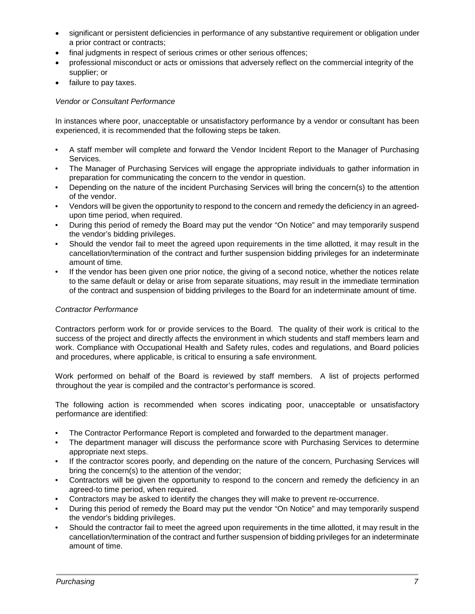- significant or persistent deficiencies in performance of any substantive requirement or obligation under a prior contract or contracts;
- final judgments in respect of serious crimes or other serious offences;
- professional misconduct or acts or omissions that adversely reflect on the commercial integrity of the supplier; or
- failure to pay taxes.

## *Vendor or Consultant Performance*

In instances where poor, unacceptable or unsatisfactory performance by a vendor or consultant has been experienced, it is recommended that the following steps be taken.

- A staff member will complete and forward the Vendor Incident Report to the Manager of Purchasing Services.
- The Manager of Purchasing Services will engage the appropriate individuals to gather information in preparation for communicating the concern to the vendor in question.
- Depending on the nature of the incident Purchasing Services will bring the concern(s) to the attention of the vendor.
- Vendors will be given the opportunity to respond to the concern and remedy the deficiency in an agreedupon time period, when required.
- During this period of remedy the Board may put the vendor "On Notice" and may temporarily suspend the vendor's bidding privileges.
- Should the vendor fail to meet the agreed upon requirements in the time allotted, it may result in the cancellation/termination of the contract and further suspension bidding privileges for an indeterminate amount of time.
- If the vendor has been given one prior notice, the giving of a second notice, whether the notices relate to the same default or delay or arise from separate situations, may result in the immediate termination of the contract and suspension of bidding privileges to the Board for an indeterminate amount of time.

## *Contractor Performance*

Contractors perform work for or provide services to the Board. The quality of their work is critical to the success of the project and directly affects the environment in which students and staff members learn and work. Compliance with Occupational Health and Safety rules, codes and regulations, and Board policies and procedures, where applicable, is critical to ensuring a safe environment.

Work performed on behalf of the Board is reviewed by staff members. A list of projects performed throughout the year is compiled and the contractor's performance is scored.

The following action is recommended when scores indicating poor, unacceptable or unsatisfactory performance are identified:

- The Contractor Performance Report is completed and forwarded to the department manager.
- The department manager will discuss the performance score with Purchasing Services to determine appropriate next steps.
- If the contractor scores poorly, and depending on the nature of the concern, Purchasing Services will bring the concern(s) to the attention of the vendor;
- Contractors will be given the opportunity to respond to the concern and remedy the deficiency in an agreed-to time period, when required.
- Contractors may be asked to identify the changes they will make to prevent re-occurrence.
- During this period of remedy the Board may put the vendor "On Notice" and may temporarily suspend the vendor's bidding privileges.
- Should the contractor fail to meet the agreed upon requirements in the time allotted, it may result in the cancellation/termination of the contract and further suspension of bidding privileges for an indeterminate amount of time.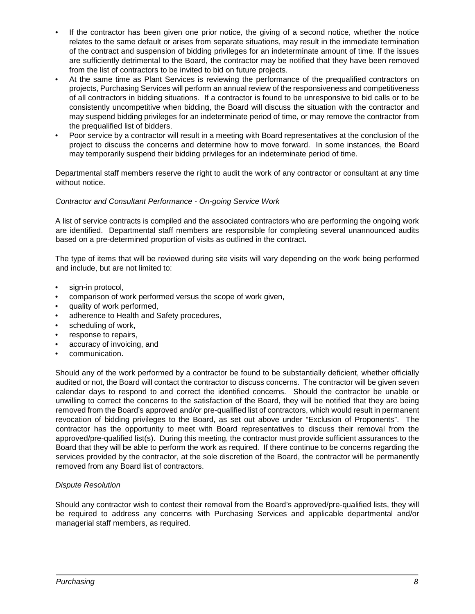- If the contractor has been given one prior notice, the giving of a second notice, whether the notice relates to the same default or arises from separate situations, may result in the immediate termination of the contract and suspension of bidding privileges for an indeterminate amount of time. If the issues are sufficiently detrimental to the Board, the contractor may be notified that they have been removed from the list of contractors to be invited to bid on future projects.
- At the same time as Plant Services is reviewing the performance of the prequalified contractors on projects, Purchasing Services will perform an annual review of the responsiveness and competitiveness of all contractors in bidding situations. If a contractor is found to be unresponsive to bid calls or to be consistently uncompetitive when bidding, the Board will discuss the situation with the contractor and may suspend bidding privileges for an indeterminate period of time, or may remove the contractor from the prequalified list of bidders.
- Poor service by a contractor will result in a meeting with Board representatives at the conclusion of the project to discuss the concerns and determine how to move forward. In some instances, the Board may temporarily suspend their bidding privileges for an indeterminate period of time.

Departmental staff members reserve the right to audit the work of any contractor or consultant at any time without notice.

## *Contractor and Consultant Performance - On-going Service Work*

A list of service contracts is compiled and the associated contractors who are performing the ongoing work are identified. Departmental staff members are responsible for completing several unannounced audits based on a pre-determined proportion of visits as outlined in the contract.

The type of items that will be reviewed during site visits will vary depending on the work being performed and include, but are not limited to:

- sign-in protocol,
- comparison of work performed versus the scope of work given,
- quality of work performed,
- adherence to Health and Safety procedures,
- scheduling of work.
- response to repairs,
- accuracy of invoicing, and
- communication.

Should any of the work performed by a contractor be found to be substantially deficient, whether officially audited or not, the Board will contact the contractor to discuss concerns. The contractor will be given seven calendar days to respond to and correct the identified concerns. Should the contractor be unable or unwilling to correct the concerns to the satisfaction of the Board, they will be notified that they are being removed from the Board's approved and/or pre-qualified list of contractors, which would result in permanent revocation of bidding privileges to the Board, as set out above under "Exclusion of Proponents". The contractor has the opportunity to meet with Board representatives to discuss their removal from the approved/pre-qualified list(s). During this meeting, the contractor must provide sufficient assurances to the Board that they will be able to perform the work as required. If there continue to be concerns regarding the services provided by the contractor, at the sole discretion of the Board, the contractor will be permanently removed from any Board list of contractors.

#### *Dispute Resolution*

Should any contractor wish to contest their removal from the Board's approved/pre-qualified lists, they will be required to address any concerns with Purchasing Services and applicable departmental and/or managerial staff members, as required.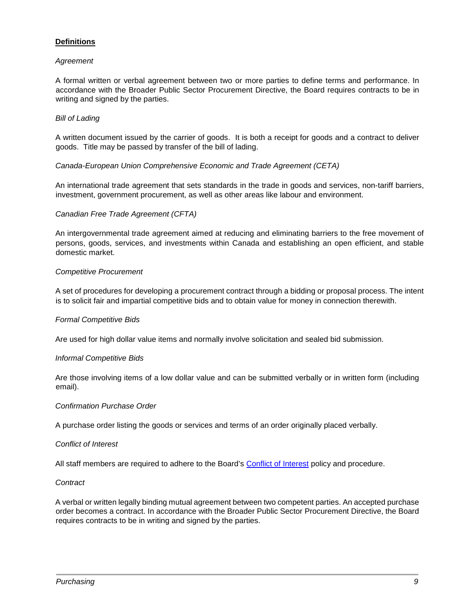## **Definitions**

#### *Agreement*

A formal written or verbal agreement between two or more parties to define terms and performance. In accordance with the Broader Public Sector Procurement Directive, the Board requires contracts to be in writing and signed by the parties.

## *Bill of Lading*

A written document issued by the carrier of goods. It is both a receipt for goods and a contract to deliver goods. Title may be passed by transfer of the bill of lading.

## *Canada-European Union Comprehensive Economic and Trade Agreement (CETA)*

An international trade agreement that sets standards in the trade in goods and services, non-tariff barriers, investment, government procurement, as well as other areas like labour and environment.

## *Canadian Free Trade Agreement (CFTA)*

An intergovernmental trade agreement aimed at reducing and eliminating barriers to the free movement of persons, goods, services, and investments within Canada and establishing an open efficient, and stable domestic market.

## *Competitive Procurement*

A set of procedures for developing a procurement contract through a bidding or proposal process. The intent is to solicit fair and impartial competitive bids and to obtain value for money in connection therewith.

#### *Formal Competitive Bids*

Are used for high dollar value items and normally involve solicitation and sealed bid submission.

#### *Informal Competitive Bids*

Are those involving items of a low dollar value and can be submitted verbally or in written form (including email).

#### *Confirmation Purchase Order*

A purchase order listing the goods or services and terms of an order originally placed verbally.

#### *Conflict of Interest*

All staff members are required to adhere to the Board's [Conflict of Interest](https://bww.yrdsb.ca/boarddocs/Pages/ConflictofInterest.aspx) policy and procedure.

#### *Contract*

A verbal or written legally binding mutual agreement between two competent parties. An accepted purchase order becomes a contract. In accordance with the Broader Public Sector Procurement Directive, the Board requires contracts to be in writing and signed by the parties.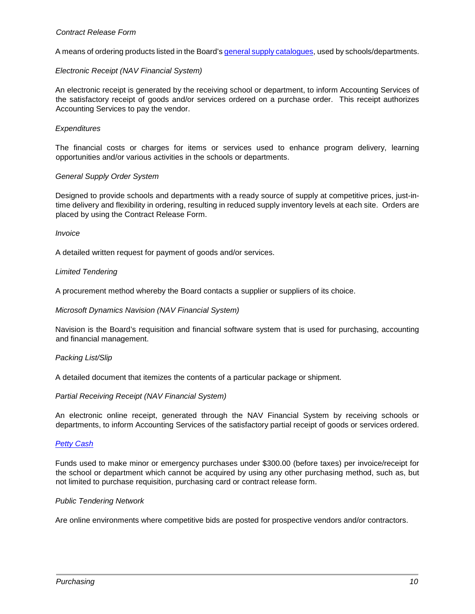#### *Contract Release Form*

A means of ordering products listed in the Board'[s general supply catalogues,](https://bww.yrdsb.ca/services/purchasing/documents/DollarsandSense/ContractReleaseVendorContactInfo.pdf) used by schools/departments.

## *Electronic Receipt (NAV Financial System)*

An electronic receipt is generated by the receiving school or department, to inform Accounting Services of the satisfactory receipt of goods and/or services ordered on a purchase order. This receipt authorizes Accounting Services to pay the vendor.

#### *Expenditures*

The financial costs or charges for items or services used to enhance program delivery, learning opportunities and/or various activities in the schools or departments.

#### *General Supply Order System*

Designed to provide schools and departments with a ready source of supply at competitive prices, just-intime delivery and flexibility in ordering, resulting in reduced supply inventory levels at each site. Orders are placed by using the Contract Release Form.

#### *Invoice*

A detailed written request for payment of goods and/or services.

#### *Limited Tendering*

A procurement method whereby the Board contacts a supplier or suppliers of its choice.

#### *Microsoft Dynamics Navision (NAV Financial System)*

Navision is the Board's requisition and financial software system that is used for purchasing, accounting and financial management.

#### *Packing List/Slip*

A detailed document that itemizes the contents of a particular package or shipment.

#### *Partial Receiving Receipt (NAV Financial System)*

An electronic online receipt, generated through the NAV Financial System by receiving schools or departments, to inform Accounting Services of the satisfactory partial receipt of goods or services ordered.

#### *[Petty Cash](https://bww.yrdsb.ca/boarddocs/Documents/PRO-pettycash-157.pdf)*

Funds used to make minor or emergency purchases under \$300.00 (before taxes) per invoice/receipt for the school or department which cannot be acquired by using any other purchasing method, such as, but not limited to purchase requisition, purchasing card or contract release form.

#### *Public Tendering Network*

Are online environments where competitive bids are posted for prospective vendors and/or contractors.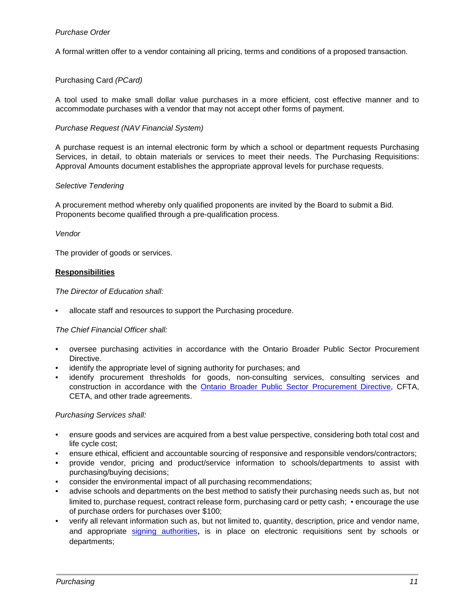A formal written offer to a vendor containing all pricing, terms and conditions of a proposed transaction.

## Purchasing Card *(PCard)*

A tool used to make small dollar value purchases in a more efficient, cost effective manner and to accommodate purchases with a vendor that may not accept other forms of payment.

## *Purchase Request (NAV Financial System)*

A purchase request is an internal electronic form by which a school or department requests Purchasing Services, in detail, to obtain materials or services to meet their needs. The Purchasing Requisitions: Approval Amounts document establishes the appropriate approval levels for purchase requests.

#### *Selective Tendering*

A procurement method whereby only qualified proponents are invited by the Board to submit a Bid. Proponents become qualified through a pre-qualification process.

#### *Vendor*

The provider of goods or services.

## **Responsibilities**

*The Director of Education shall:* 

• allocate staff and resources to support the Purchasing procedure.

#### *The Chief Financial Officer shall:*

- oversee purchasing activities in accordance with the [Ontario Broader Public Sector Procurement](https://www.doingbusiness.mgs.gov.on.ca/mbs/psb/psb.nsf/Attachments/BPSProcDir-pdf-eng/$FILE/bps_procurement_directive-eng.pdf) [Directive.](https://www.doingbusiness.mgs.gov.on.ca/mbs/psb/psb.nsf/Attachments/BPSProcDir-pdf-eng/$FILE/bps_procurement_directive-eng.pdf)
- identify the appropriate level of signing authority for purchases; and
- identify procurement thresholds for goods, non-consulting services, consulting services and construction in accordance with the [Ontario Broader Public Sector Procurement Directive,](https://www.doingbusiness.mgs.gov.on.ca/mbs/psb/psb.nsf/Attachments/BPSProcDir-pdf-eng/$FILE/bps_procurement_directive-eng.pdf) CFTA, CETA, and other trade agreements.

*Purchasing Services shall:* 

- ensure goods and services are acquired from a best value perspective, considering both total cost and life cycle cost;
- ensure ethical, efficient and accountable sourcing of responsive and responsible vendors/contractors;
- provide vendor, pricing and product/service information to schools/departments to assist with purchasing/buying decisions;
- consider the environmental impact of all purchasing recommendations;
- advise schools and departments on the best method to satisfy their purchasing needs such as, but not limited to, purchase request, contract release form, purchasing card or petty cash; • encourage the use of purchase orders for purchases over \$100;
- verify all relevant information such as, but not limited to, quantity, description, price and vendor name, and appropriate [signing authorities](https://bww.yrdsb.ca/boarddocs/Documents/SD-purchasinglimits.pdf)[,](https://bww.yrdsb.ca/boarddocs/Documents/SD-purchasinglimits.pdf) is in place on electronic requisitions sent by schools or departments;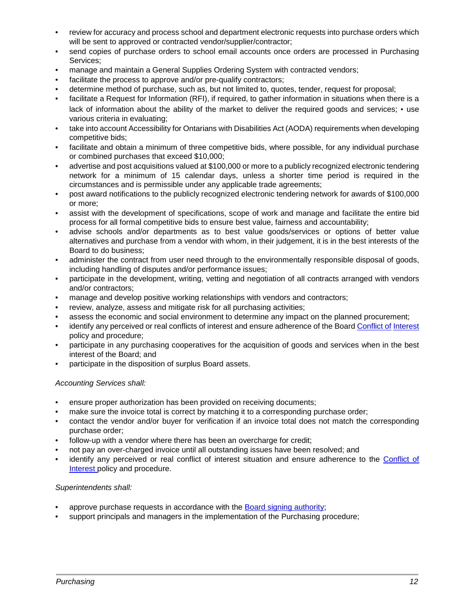- review for accuracy and process school and department electronic requests into purchase orders which will be sent to approved or contracted vendor/supplier/contractor;
- send copies of purchase orders to school email accounts once orders are processed in Purchasing Services;
- manage and maintain a General Supplies Ordering System with contracted vendors;
- facilitate the process to approve and/or pre-qualify contractors;
- determine method of purchase, such as, but not limited to, quotes, tender, request for proposal;
- facilitate a Request for Information (RFI), if required, to gather information in situations when there is a lack of information about the ability of the market to deliver the required goods and services; • use various criteria in evaluating;
- take into account Accessibility for Ontarians with Disabilities Act (AODA) requirements when developing competitive bids;
- facilitate and obtain a minimum of three competitive bids, where possible, for any individual purchase or combined purchases that exceed \$10,000;
- advertise and post acquisitions valued at \$100,000 or more to a publicly recognized electronic tendering network for a minimum of 15 calendar days, unless a shorter time period is required in the circumstances and is permissible under any applicable trade agreements;
- post award notifications to the publicly recognized electronic tendering network for awards of \$100,000 or more;
- assist with the development of specifications, scope of work and manage and facilitate the entire bid process for all formal competitive bids to ensure best value, fairness and accountability;
- advise schools and/or departments as to best value goods/services or options of better value alternatives and purchase from a vendor with whom, in their judgement, it is in the best interests of the Board to do business;
- administer the contract from user need through to the environmentally responsible disposal of goods, including handling of disputes and/or performance issues;
- participate in the development, writing, vetting and negotiation of all contracts arranged with vendors and/or contractors;
- manage and develop positive working relationships with vendors and contractors;
- review, analyze, assess and mitigate risk for all purchasing activities;
- assess the economic and social environment to determine any impact on the planned procurement;
- identify any perceived or real conflicts of interest and ensure adherence of the Boar[d Conflict of](https://bww.yrdsb.ca/boarddocs/Pages/ConflictofInterest.aspx) Interest policy and procedur[e;](https://bww.yrdsb.ca/boarddocs/Pages/ConflictofInterest.aspx)
- participate in any purchasing cooperatives for the acquisition of goods and services when in the best interest of the Board; and
- participate in the disposition of surplus Board assets.

## *Accounting Services shall:*

- ensure proper authorization has been provided on receiving documents;
- make sure the invoice total is correct by matching it to a corresponding purchase order;
- contact the vendor and/or buyer for verification if an invoice total does not match the corresponding purchase order;
- follow-up with a vendor where there has been an overcharge for credit:
- not pay an over-charged invoice until all outstanding issues have been resolved; and
- identify any perceived or real conflict of interest situation and ensure adherence to the Conflict of Interest policy and procedur[e.](https://bww.yrdsb.ca/boarddocs/Pages/ConflictofInterest.aspx)

## *Superintendents shall:*

- approve purchase requests in accordance with the [Board signing authority;](https://bww.yrdsb.ca/boarddocs/Documents/SD-purchasinglimits.pdf)
- support principals and managers in the implementation of the Purchasing procedure;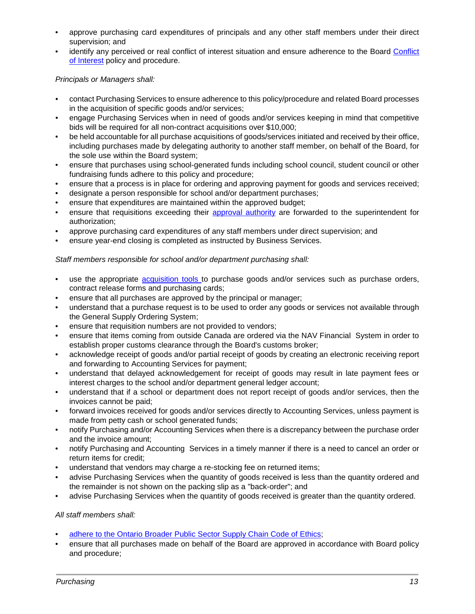- approve purchasing card expenditures of principals and any other staff members under their direct supervision; and
- identify any perceived or real conflict of interest situation and ensure adherence to the Board Conflict of Interest policy and procedure.

*Principals or Managers shall:* 

- contact Purchasing Services to ensure adherence to this policy/procedure and related Board processes in the acquisition of specific goods and/or services;
- engage Purchasing Services when in need of goods and/or services keeping in mind that competitive bids will be required for all non-contract acquisitions over \$10,000;
- be held accountable for all purchase acquisitions of goods/services initiated and received by their office, including purchases made by delegating authority to another staff member, on behalf of the Board, for the sole use within the Board system;
- ensure that purchases using school-generated funds including school council, student council or other fundraising funds adhere to this policy and procedure;
- ensure that a process is in place for ordering and approving payment for goods and services received;
- designate a person responsible for school and/or department purchases;
- ensure that expenditures are maintained within the approved budget;
- ensure that requisitions exceeding their [approval authority](https://bww.yrdsb.ca/boarddocs/Documents/SD-purchasinglimits.pdf) [a](https://bww.yrdsb.ca/boarddocs/Documents/SD-purchasinglimits.pdf)re forwarded to the superintendent for authorization;
- approve purchasing card expenditures of any staff members under direct supervision; and
- ensure year-end closing is completed as instructed by Business Services.

## *Staff members responsible for school and/or department purchasing shall:*

- use the appropriate [acquisition tools to](https://bww.yrdsb.ca/services/qa/dollarsense/Pages/default.aspx) purchase goods and/or services such as purchase orders, contract release forms and purchasing cards;
- ensure that all purchases are approved by the principal or manager;
- understand that a purchase request is to be used to order any goods or services not available through the General Supply Ordering System;
- ensure that requisition numbers are not provided to vendors;
- ensure that items coming from outside Canada are ordered via the NAV Financial System in order to establish proper customs clearance through the Board's customs broker;
- acknowledge receipt of goods and/or partial receipt of goods by creating an electronic receiving report and forwarding to Accounting Services for payment;
- understand that delayed acknowledgement for receipt of goods may result in late payment fees or interest charges to the school and/or department general ledger account;
- understand that if a school or department does not report receipt of goods and/or services, then the invoices cannot be paid;
- forward invoices received for goods and/or services directly to Accounting Services, unless payment is made from petty cash or school generated funds;
- notify Purchasing and/or Accounting Services when there is a discrepancy between the purchase order and the invoice amount;
- notify Purchasing and Accounting Services in a timely manner if there is a need to cancel an order or return items for credit;
- understand that vendors may charge a re-stocking fee on returned items;
- advise Purchasing Services when the quantity of goods received is less than the quantity ordered and the remainder is not shown on the packing slip as a "back-order"; and
- advise Purchasing Services when the quantity of goods received is greater than the quantity ordered.

## *All staff members shall:*

- adhere [to the Ontario Broader Public Sector Supply Chain Code of Ethics;](https://www.doingbusiness.mgs.gov.on.ca/mbs/psb/psb.nsf/Attachments/BPSProcDir-pdf-eng/$FILE/bps_procurement_directive-eng.pdf)
- ensure that all purchases made on behalf of the Board are approved in accordance with Board policy and procedure;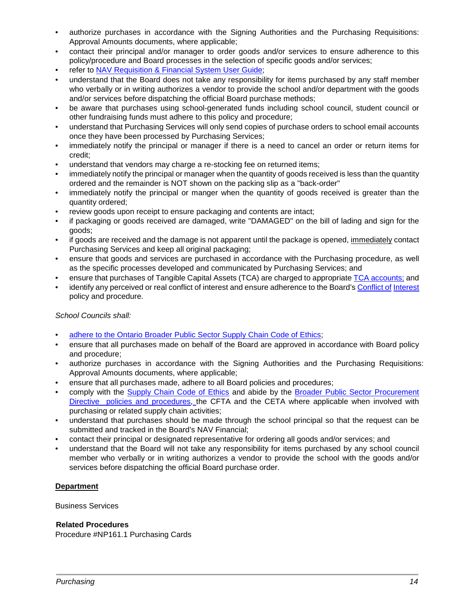- authorize purchases in accordance with the Signing Authorities and the Purchasing Requisitions: Approval Amounts documents, where applicable;
- contact their principal and/or manager to order goods and/or services to ensure adherence to this policy/procedure and Board processes in the selection of specific goods and/or services;
- refer to NAV Requisition & Financial System User Guide;
- understand that the Board does not take any responsibility for items purchased by any staff member who verbally or in writing authorizes a vendor to provide the school and/or department with the goods and/or services before dispatching the official Board purchase methods;
- be aware that purchases using school-generated funds including school council, student council or other fundraising funds must adhere to this policy and procedure;
- understand that Purchasing Services will only send copies of purchase orders to school email accounts once they have been processed by Purchasing Services;
- immediately notify the principal or manager if there is a need to cancel an order or return items for credit;
- understand that vendors may charge a re-stocking fee on returned items;
- immediately notify the principal or manager when the quantity of goods received is less than the quantity ordered and the remainder is NOT shown on the packing slip as a "back-order"
- immediately notify the principal or manger when the quantity of goods received is greater than the quantity ordered;
- review goods upon receipt to ensure packaging and contents are intact;
- if packaging or goods received are damaged, write "DAMAGED" on the bill of lading and sign for the goods;
- if goods are received and the damage is not apparent until the package is opened, immediately contact Purchasing Services and keep all original packaging;
- ensure that goods and services are purchased in accordance with the Purchasing procedure, as well as the specific processes developed and communicated by Purchasing Services; and
- ensure that purchases of Tangible Capital Assets (TCA) are charged to appropriate [TCA accounts;](https://bww.yrdsb.ca/services/finance/Documents/Tangible%20Capital%20Asset%20Purchases.pdf) [a](https://bww.yrdsb.ca/services/finance/Documents/Tangible%20Capital%20Asset%20Purchases.pdf)nd
- identify any perceived or real conflict of interest and ensure adherence to the Board's [Conflict of](https://bww.yrdsb.ca/boarddocs/Pages/ConflictofInterest.aspx) Interest policy and procedure.

## *School Councils shall:*

- [adhere to the Ontario Broader Public Sector Supply Chain Code of Ethics;](https://www.doingbusiness.mgs.gov.on.ca/mbs/psb/psb.nsf/Attachments/BPSProcDir-pdf-eng/$FILE/bps_procurement_directive-eng.pdf)
- ensure that all purchases made on behalf of the Board are approved in accordance with Board policy and procedure;
- authorize purchases in accordance with the Signing Authorities and the Purchasing Requisitions: Approval Amounts documents, where applicable;
- ensure that all purchases made, adhere to all Board policies and procedures;
- comply with the [Supply Chain Code of Ethics](https://bww.yrdsb.ca/boarddocs/Documents/SD-CodeofEthics.pdf) [a](https://bww.yrdsb.ca/boarddocs/Documents/SD-CodeofEthics.pdf)nd abide by the [Broader Public Sector Procurement](http://www.doingbusiness.mgs.gov.on.ca/mbs/psb/psb.nsf/English/bps-procurementdirective) [Directive policies and procedures,](http://www.doingbusiness.mgs.gov.on.ca/mbs/psb/psb.nsf/English/bps-procurementdirective) the CFTA and the CETA where applicable when involved with purchasing or related supply chain activities;
- understand that purchases should be made through the school principal so that the request can be submitted and tracked in the Board's NAV Financial;
- contact their principal or designated representative for ordering all goods and/or services; and
- understand that the Board will not take any responsibility for items purchased by any school council member who verbally or in writing authorizes a vendor to provide the school with the goods and/or services before dispatching the official Board purchase order.

## **Department**

Business Services

#### **Related Procedures**

Procedure #NP161.1 Purchasing Cards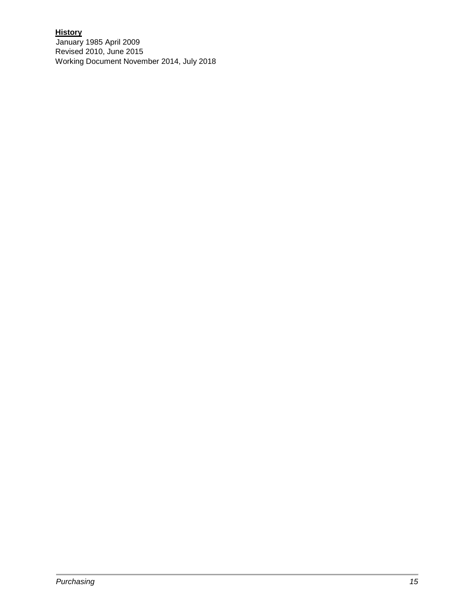## **History**

January 1985 April 2009 Revised 2010, June 2015 Working Document November 2014, July 2018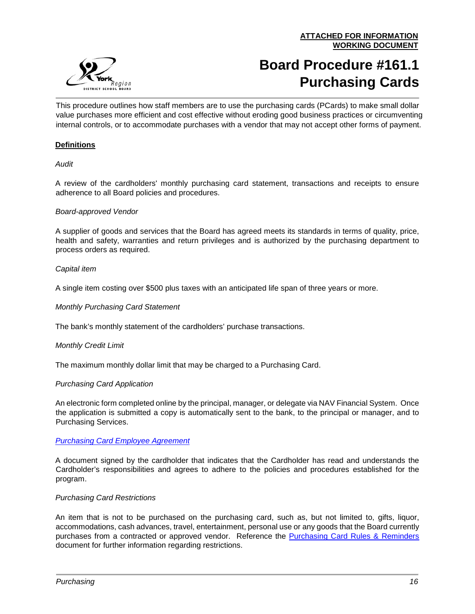

# **Board Procedure #161.1 Purchasing Cards**

This procedure outlines how staff members are to use the purchasing cards (PCards) to make small dollar value purchases more efficient and cost effective without eroding good business practices or circumventing internal controls, or to accommodate purchases with a vendor that may not accept other forms of payment.

## **Definitions**

## *Audit*

A review of the cardholders' monthly purchasing card statement, transactions and receipts to ensure adherence to all Board policies and procedures.

## *Board-approved Vendor*

A supplier of goods and services that the Board has agreed meets its standards in terms of quality, price, health and safety, warranties and return privileges and is authorized by the purchasing department to process orders as required.

## *Capital item*

A single item costing over \$500 plus taxes with an anticipated life span of three years or more.

## *Monthly Purchasing Card Statement*

The bank's monthly statement of the cardholders' purchase transactions.

#### *Monthly Credit Limit*

The maximum monthly dollar limit that may be charged to a Purchasing Card.

#### *Purchasing Card Application*

An electronic form completed online by the principal, manager, or delegate via NAV Financial System. Once the application is submitted a copy is automatically sent to the bank, to the principal or manager, and to Purchasing Services.

## *[Purchasing Card Employee Agreement](https://bww.yrdsb.ca/services/purchasing/PCards/Documents/FOR-pcardagreementform-161.pdf)*

A document signed by the cardholder that indicates that the Cardholder has read and understands the Cardholder's responsibilities and agrees to adhere to the policies and procedures established for the program.

#### *Purchasing Card Restrictions*

An item that is not to be purchased on the purchasing card, such as, but not limited to, gifts, liquor, accommodations, cash advances, travel, entertainment, personal use or any goods that the Board currently purchases from a contracted or approved vendor. Reference the [Purchasing Card Rules & Reminders](https://bww.yrdsb.ca/services/purchasing/PCards/Documents/PurchasingCardRulesandReminders.pdf) document for further information regarding restrictions.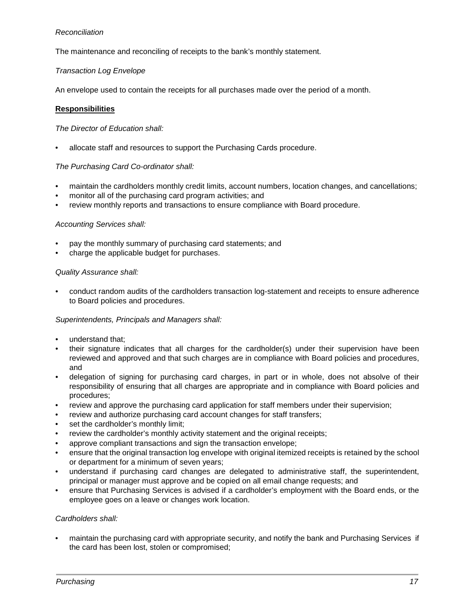## *Reconciliation*

The maintenance and reconciling of receipts to the bank's monthly statement.

## *Transaction Log Envelope*

An envelope used to contain the receipts for all purchases made over the period of a month.

## **Responsibilities**

## *The Director of Education shall:*

• allocate staff and resources to support the Purchasing Cards procedure.

## *The Purchasing Card Co-ordinator shall:*

- maintain the cardholders monthly credit limits, account numbers, location changes, and cancellations;
- monitor all of the purchasing card program activities; and
- review monthly reports and transactions to ensure compliance with Board procedure.

## *Accounting Services shall:*

- pay the monthly summary of purchasing card statements; and
- charge the applicable budget for purchases.

#### *Quality Assurance shall:*

• conduct random audits of the cardholders transaction log-statement and receipts to ensure adherence to Board policies and procedures.

## *Superintendents, Principals and Managers shall:*

- understand that;
- their signature indicates that all charges for the cardholder(s) under their supervision have been reviewed and approved and that such charges are in compliance with Board policies and procedures, and
- delegation of signing for purchasing card charges, in part or in whole, does not absolve of their responsibility of ensuring that all charges are appropriate and in compliance with Board policies and procedures;
- review and approve the purchasing card application for staff members under their supervision;
- review and authorize purchasing card account changes for staff transfers;
- set the cardholder's monthly limit;
- review the cardholder's monthly activity statement and the original receipts;
- approve compliant transactions and sign the transaction envelope;
- ensure that the original transaction log envelope with original itemized receipts is retained by the school or department for a minimum of seven years;
- understand if purchasing card changes are delegated to administrative staff, the superintendent, principal or manager must approve and be copied on all email change requests; and
- ensure that Purchasing Services is advised if a cardholder's employment with the Board ends, or the employee goes on a leave or changes work location.

#### *Cardholders shall:*

• maintain the purchasing card with appropriate security, and notify the bank and Purchasing Services if the card has been lost, stolen or compromised;